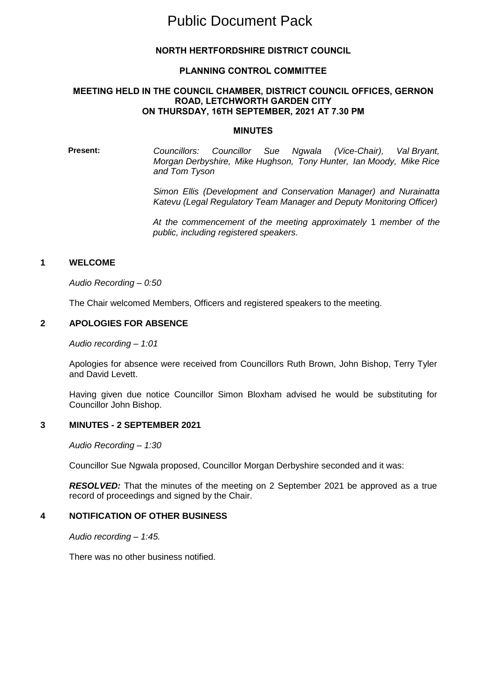# Public Document Pack

# **NORTH HERTFORDSHIRE DISTRICT COUNCIL**

#### **PLANNING CONTROL COMMITTEE**

#### **MEETING HELD IN THE COUNCIL CHAMBER, DISTRICT COUNCIL OFFICES, GERNON ROAD, LETCHWORTH GARDEN CITY ON THURSDAY, 16TH SEPTEMBER, 2021 AT 7.30 PM**

#### **MINUTES**

**Present:** *Councillors: Councillor Sue Ngwala (Vice-Chair), Val Bryant, Morgan Derbyshire, Mike Hughson, Tony Hunter, Ian Moody, Mike Rice and Tom Tyson*

> *Simon Ellis (Development and Conservation Manager) and Nurainatta Katevu (Legal Regulatory Team Manager and Deputy Monitoring Officer)*

> *At the commencement of the meeting approximately* 1 *member of the public, including registered speakers.*

#### **1 WELCOME**

*Audio Recording – 0:50*

The Chair welcomed Members, Officers and registered speakers to the meeting.

#### **2 APOLOGIES FOR ABSENCE**

*Audio recording – 1:01*

Apologies for absence were received from Councillors Ruth Brown, John Bishop, Terry Tyler and David Levett.

Having given due notice Councillor Simon Bloxham advised he would be substituting for Councillor John Bishop.

#### **3 MINUTES - 2 SEPTEMBER 2021**

*Audio Recording – 1:30* 

Councillor Sue Ngwala proposed, Councillor Morgan Derbyshire seconded and it was:

*RESOLVED:* That the minutes of the meeting on 2 September 2021 be approved as a true record of proceedings and signed by the Chair.

#### **4 NOTIFICATION OF OTHER BUSINESS**

*Audio recording – 1:45.*

There was no other business notified.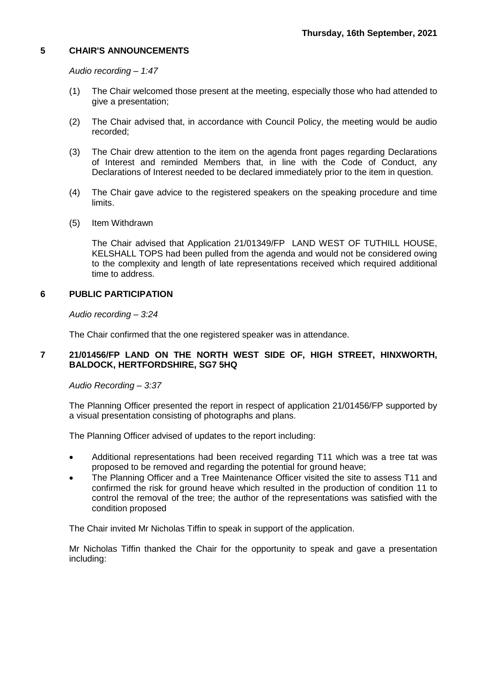# **5 CHAIR'S ANNOUNCEMENTS**

*Audio recording – 1:47*

- (1) The Chair welcomed those present at the meeting, especially those who had attended to give a presentation;
- (2) The Chair advised that, in accordance with Council Policy, the meeting would be audio recorded;
- (3) The Chair drew attention to the item on the agenda front pages regarding Declarations of Interest and reminded Members that, in line with the Code of Conduct, any Declarations of Interest needed to be declared immediately prior to the item in question.
- (4) The Chair gave advice to the registered speakers on the speaking procedure and time limits.
- (5) Item Withdrawn

The Chair advised that Application 21/01349/FP LAND WEST OF TUTHILL HOUSE, KELSHALL TOPS had been pulled from the agenda and would not be considered owing to the complexity and length of late representations received which required additional time to address.

# **6 PUBLIC PARTICIPATION**

*Audio recording – 3:24* 

The Chair confirmed that the one registered speaker was in attendance.

# **7 21/01456/FP LAND ON THE NORTH WEST SIDE OF, HIGH STREET, HINXWORTH, BALDOCK, HERTFORDSHIRE, SG7 5HQ**

*Audio Recording – 3:37*

The Planning Officer presented the report in respect of application 21/01456/FP supported by a visual presentation consisting of photographs and plans.

The Planning Officer advised of updates to the report including:

- Additional representations had been received regarding T11 which was a tree tat was proposed to be removed and regarding the potential for ground heave;
- The Planning Officer and a Tree Maintenance Officer visited the site to assess T11 and confirmed the risk for ground heave which resulted in the production of condition 11 to control the removal of the tree; the author of the representations was satisfied with the condition proposed

The Chair invited Mr Nicholas Tiffin to speak in support of the application.

Mr Nicholas Tiffin thanked the Chair for the opportunity to speak and gave a presentation including: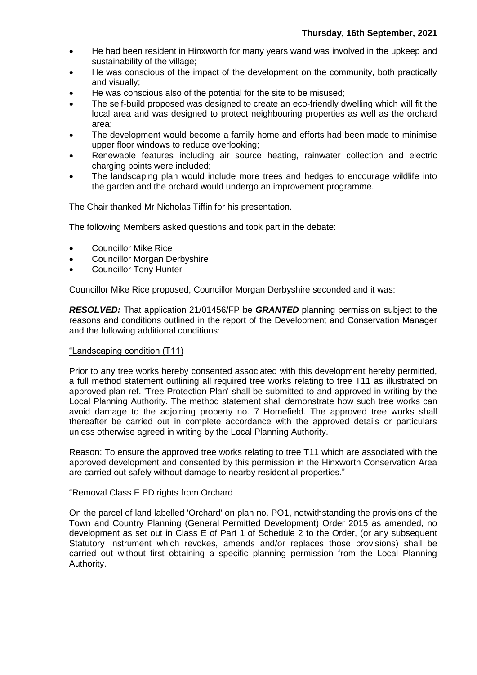- He had been resident in Hinxworth for many years wand was involved in the upkeep and sustainability of the village;
- He was conscious of the impact of the development on the community, both practically and visually;
- He was conscious also of the potential for the site to be misused;
- The self-build proposed was designed to create an eco-friendly dwelling which will fit the local area and was designed to protect neighbouring properties as well as the orchard area;
- The development would become a family home and efforts had been made to minimise upper floor windows to reduce overlooking;
- Renewable features including air source heating, rainwater collection and electric charging points were included;
- The landscaping plan would include more trees and hedges to encourage wildlife into the garden and the orchard would undergo an improvement programme.

The Chair thanked Mr Nicholas Tiffin for his presentation.

The following Members asked questions and took part in the debate:

- Councillor Mike Rice
- Councillor Morgan Derbyshire
- Councillor Tony Hunter

Councillor Mike Rice proposed, Councillor Morgan Derbyshire seconded and it was:

*RESOLVED:* That application 21/01456/FP be *GRANTED* planning permission subject to the reasons and conditions outlined in the report of the Development and Conservation Manager and the following additional conditions:

#### "Landscaping condition (T11)

Prior to any tree works hereby consented associated with this development hereby permitted, a full method statement outlining all required tree works relating to tree T11 as illustrated on approved plan ref. 'Tree Protection Plan' shall be submitted to and approved in writing by the Local Planning Authority. The method statement shall demonstrate how such tree works can avoid damage to the adjoining property no. 7 Homefield. The approved tree works shall thereafter be carried out in complete accordance with the approved details or particulars unless otherwise agreed in writing by the Local Planning Authority.

Reason: To ensure the approved tree works relating to tree T11 which are associated with the approved development and consented by this permission in the Hinxworth Conservation Area are carried out safely without damage to nearby residential properties."

#### "Removal Class E PD rights from Orchard

On the parcel of land labelled 'Orchard' on plan no. PO1, notwithstanding the provisions of the Town and Country Planning (General Permitted Development) Order 2015 as amended, no development as set out in Class E of Part 1 of Schedule 2 to the Order, (or any subsequent Statutory Instrument which revokes, amends and/or replaces those provisions) shall be carried out without first obtaining a specific planning permission from the Local Planning Authority.